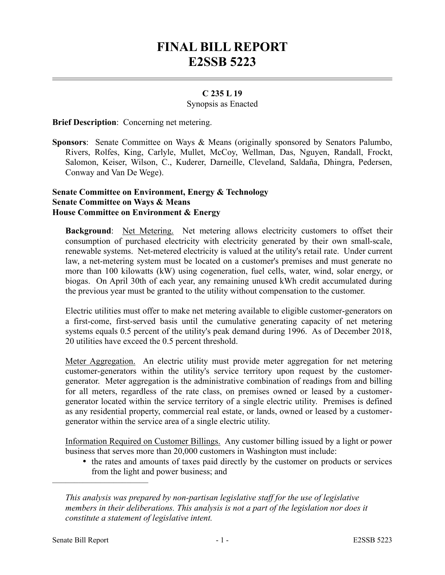# **FINAL BILL REPORT E2SSB 5223**

## **C 235 L 19**

#### Synopsis as Enacted

**Brief Description**: Concerning net metering.

**Sponsors**: Senate Committee on Ways & Means (originally sponsored by Senators Palumbo, Rivers, Rolfes, King, Carlyle, Mullet, McCoy, Wellman, Das, Nguyen, Randall, Frockt, Salomon, Keiser, Wilson, C., Kuderer, Darneille, Cleveland, Saldaña, Dhingra, Pedersen, Conway and Van De Wege).

### **Senate Committee on Environment, Energy & Technology Senate Committee on Ways & Means House Committee on Environment & Energy**

**Background:** Net Metering. Net metering allows electricity customers to offset their consumption of purchased electricity with electricity generated by their own small-scale, renewable systems. Net-metered electricity is valued at the utility's retail rate. Under current law, a net-metering system must be located on a customer's premises and must generate no more than 100 kilowatts (kW) using cogeneration, fuel cells, water, wind, solar energy, or biogas. On April 30th of each year, any remaining unused kWh credit accumulated during the previous year must be granted to the utility without compensation to the customer.

Electric utilities must offer to make net metering available to eligible customer-generators on a first-come, first-served basis until the cumulative generating capacity of net metering systems equals 0.5 percent of the utility's peak demand during 1996. As of December 2018, 20 utilities have exceed the 0.5 percent threshold.

Meter Aggregation. An electric utility must provide meter aggregation for net metering customer-generators within the utility's service territory upon request by the customergenerator. Meter aggregation is the administrative combination of readings from and billing for all meters, regardless of the rate class, on premises owned or leased by a customergenerator located within the service territory of a single electric utility. Premises is defined as any residential property, commercial real estate, or lands, owned or leased by a customergenerator within the service area of a single electric utility.

Information Required on Customer Billings. Any customer billing issued by a light or power business that serves more than 20,000 customers in Washington must include:

• the rates and amounts of taxes paid directly by the customer on products or services from the light and power business; and

––––––––––––––––––––––

*This analysis was prepared by non-partisan legislative staff for the use of legislative members in their deliberations. This analysis is not a part of the legislation nor does it constitute a statement of legislative intent.*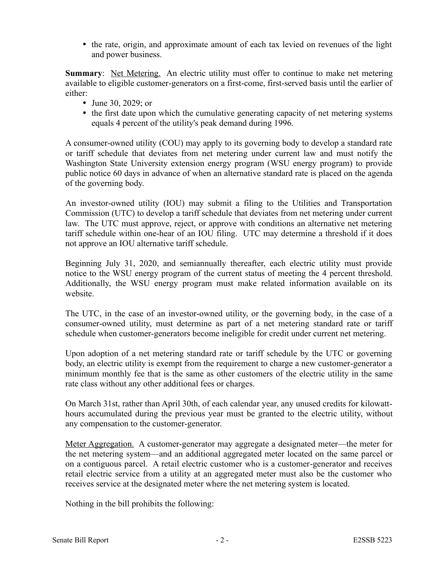• the rate, origin, and approximate amount of each tax levied on revenues of the light and power business.

**Summary:** Net Metering. An electric utility must offer to continue to make net metering available to eligible customer-generators on a first-come, first-served basis until the earlier of either:

- June 30, 2029; or
- the first date upon which the cumulative generating capacity of net metering systems equals 4 percent of the utility's peak demand during 1996.

A consumer-owned utility (COU) may apply to its governing body to develop a standard rate or tariff schedule that deviates from net metering under current law and must notify the Washington State University extension energy program (WSU energy program) to provide public notice 60 days in advance of when an alternative standard rate is placed on the agenda of the governing body.

An investor-owned utility (IOU) may submit a filing to the Utilities and Transportation Commission (UTC) to develop a tariff schedule that deviates from net metering under current law. The UTC must approve, reject, or approve with conditions an alternative net metering tariff schedule within one-hear of an IOU filing. UTC may determine a threshold if it does not approve an IOU alternative tariff schedule.

Beginning July 31, 2020, and semiannually thereafter, each electric utility must provide notice to the WSU energy program of the current status of meeting the 4 percent threshold. Additionally, the WSU energy program must make related information available on its website.

The UTC, in the case of an investor-owned utility, or the governing body, in the case of a consumer-owned utility, must determine as part of a net metering standard rate or tariff schedule when customer-generators become ineligible for credit under current net metering.

Upon adoption of a net metering standard rate or tariff schedule by the UTC or governing body, an electric utility is exempt from the requirement to charge a new customer-generator a minimum monthly fee that is the same as other customers of the electric utility in the same rate class without any other additional fees or charges.

On March 31st, rather than April 30th, of each calendar year, any unused credits for kilowatthours accumulated during the previous year must be granted to the electric utility, without any compensation to the customer-generator.

Meter Aggregation. A customer-generator may aggregate a designated meter—the meter for the net metering system—and an additional aggregated meter located on the same parcel or on a contiguous parcel. A retail electric customer who is a customer-generator and receives retail electric service from a utility at an aggregated meter must also be the customer who receives service at the designated meter where the net metering system is located.

Nothing in the bill prohibits the following: